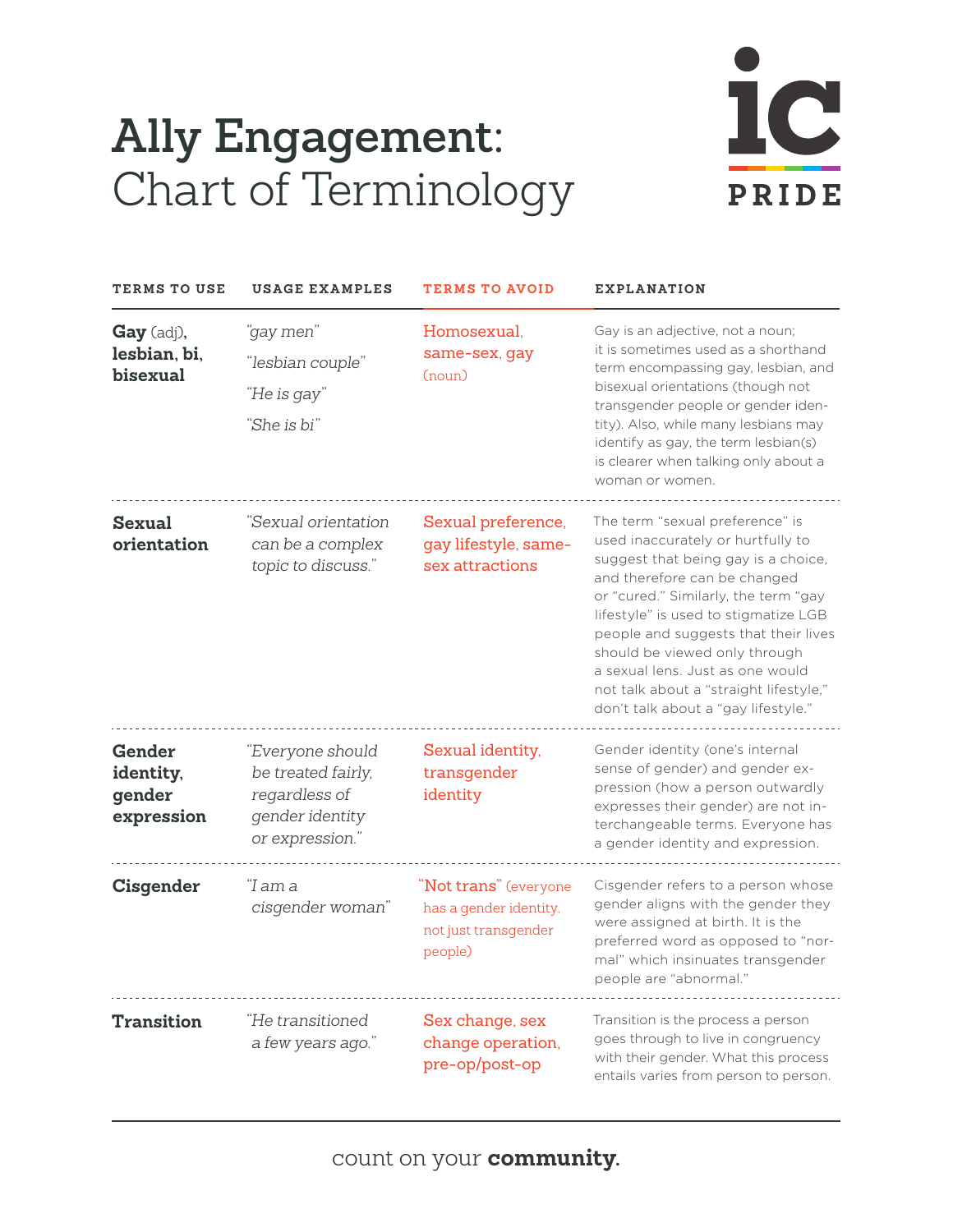## **Ally Engagement:** Chart of Terminology



| TERMS TO USE                                | <b>USAGE EXAMPLES</b>                                                                         | <b>TERMS TO AVOID</b>                                                              | <b>EXPLANATION</b>                                                                                                                                                                                                                                                                                                                                                                                                        |
|---------------------------------------------|-----------------------------------------------------------------------------------------------|------------------------------------------------------------------------------------|---------------------------------------------------------------------------------------------------------------------------------------------------------------------------------------------------------------------------------------------------------------------------------------------------------------------------------------------------------------------------------------------------------------------------|
| Gay (adj),<br>lesbian, bi,<br>bisexual      | "gay men"<br>"lesbian couple"<br>"He is gay"<br>"She is bi"                                   | Homosexual.<br>same-sex, gay<br>(noun)                                             | Gay is an adjective, not a noun;<br>it is sometimes used as a shorthand<br>term encompassing gay, lesbian, and<br>bisexual orientations (though not<br>transgender people or gender iden-<br>tity). Also, while many lesbians may<br>identify as gay, the term lesbian(s)<br>is clearer when talking only about a<br>woman or women.                                                                                      |
| <b>Sexual</b><br>orientation                | "Sexual orientation<br>can be a complex<br>topic to discuss."                                 | Sexual preference,<br>gay lifestyle, same-<br>sex attractions                      | The term "sexual preference" is<br>used inaccurately or hurtfully to<br>suggest that being gay is a choice,<br>and therefore can be changed<br>or "cured." Similarly, the term "gay<br>lifestyle" is used to stigmatize LGB<br>people and suggests that their lives<br>should be viewed only through<br>a sexual lens. Just as one would<br>not talk about a "straight lifestyle,"<br>don't talk about a "gay lifestyle." |
| Gender<br>identity,<br>gender<br>expression | "Everyone should<br>be treated fairly,<br>regardless of<br>gender identity<br>or expression." | Sexual identity,<br>transgender<br>identity                                        | Gender identity (one's internal<br>sense of gender) and gender ex-<br>pression (how a person outwardly<br>expresses their gender) are not in-<br>terchangeable terms. Everyone has<br>a gender identity and expression.                                                                                                                                                                                                   |
| Cisgender                                   | "I am a<br>cisgender woman"                                                                   | "Not trans" (everyone<br>has a gender identity,<br>not just transgender<br>people) | Cisgender refers to a person whose<br>gender aligns with the gender they<br>were assigned at birth. It is the<br>preferred word as opposed to "nor-<br>mal" which insinuates transgender<br>people are "abnormal."                                                                                                                                                                                                        |
| <b>Transition</b>                           | "He transitioned<br>a few years ago."                                                         | Sex change, sex<br>change operation,<br>pre-op/post-op                             | Transition is the process a person<br>goes through to live in congruency<br>with their gender. What this process<br>entails varies from person to person.                                                                                                                                                                                                                                                                 |